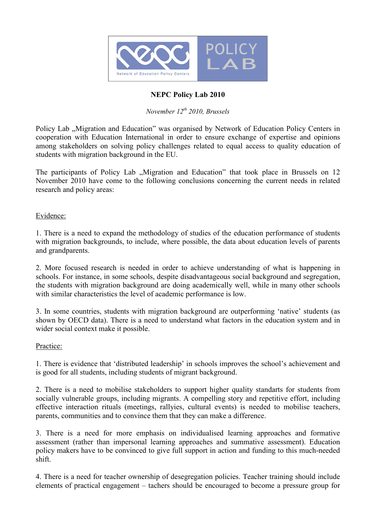

## **NEPC Policy Lab 2010**

# *November 12th 2010, Brussels*

Policy Lab . Migration and Education" was organised by Network of Education Policy Centers in cooperation with Education International in order to ensure exchange of expertise and opinions among stakeholders on solving policy challenges related to equal access to quality education of students with migration background in the EU.

The participants of Policy Lab , Migration and Education" that took place in Brussels on 12 November 2010 have come to the following conclusions concerning the current needs in related research and policy areas:

Evidence:

1. There is a need to expand the methodology of studies of the education performance of students with migration backgrounds, to include, where possible, the data about education levels of parents and grandparents.

2. More focused research is needed in order to achieve understanding of what is happening in schools. For instance, in some schools, despite disadvantageous social background and segregation, the students with migration background are doing academically well, while in many other schools with similar characteristics the level of academic performance is low.

3. In some countries, students with migration background are outperforming 'native' students (as shown by OECD data). There is a need to understand what factors in the education system and in wider social context make it possible.

#### Practice:

1. There is evidence that 'distributed leadership' in schools improves the school's achievement and is good for all students, including students of migrant background.

2. There is a need to mobilise stakeholders to support higher quality standarts for students from socially vulnerable groups, including migrants. A compelling story and repetitive effort, including effective interaction rituals (meetings, rallyies, cultural events) is needed to mobilise teachers, parents, communities and to convince them that they can make a difference.

3. There is a need for more emphasis on individualised learning approaches and formative assessment (rather than impersonal learning approaches and summative assessment). Education policy makers have to be convinced to give full support in action and funding to this much-needed shift.

4. There is a need for teacher ownership of desegregation policies. Teacher training should include elements of practical engagement – tachers should be encouraged to become a pressure group for